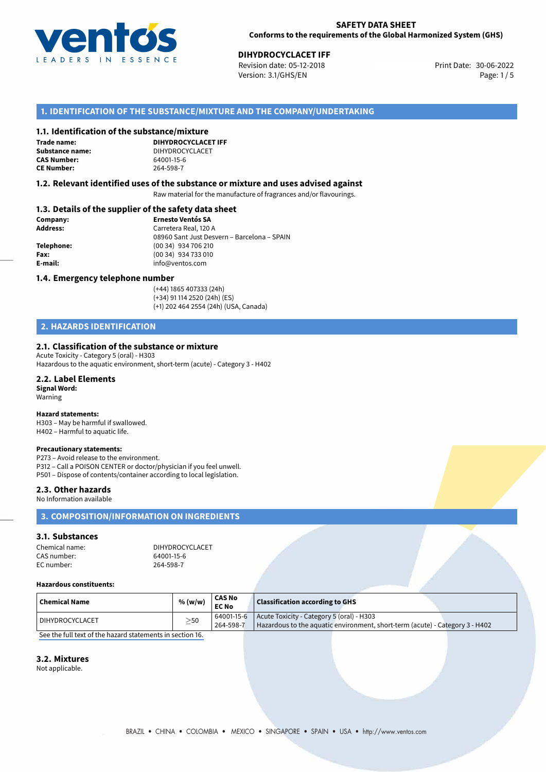

**DIHYDROCYCLACET IFF**<br>30-06-2022 Revision date: 05-12-2018 Print Date: 30-06-2022 Version: 3.1/GHS/EN Page: 1 / 5

# **1. IDENTIFICATION OF THE SUBSTANCE/MIXTURE AND THE COMPANY/UNDERTAKING**

#### **1.1. Identification of the substance/mixture**

**Trade name: CAS Number: CE Number:** 264-598-7

**DIHYDROCYCLACET IFF Substance name:** DIHYDROCYCLACET<br> **CAS Number:** 64001-15-6

#### **1.2. Relevant identified uses of the substance or mixture and uses advised against**

Raw material for the manufacture of fragrances and/or flavourings.

# **1.3. Details of the supplier of the safety data sheet**

| Company:   | <b>Ernesto Ventós SA</b>                    |  |
|------------|---------------------------------------------|--|
| Address:   | Carretera Real, 120 A                       |  |
|            | 08960 Sant Just Desvern - Barcelona - SPAIN |  |
| Telephone: | (00 34) 934 706 210                         |  |
| Fax:       | (00 34) 934 733 010                         |  |
| E-mail:    | info@ventos.com                             |  |
|            |                                             |  |

#### **1.4. Emergency telephone number**

(+44) 1865 407333 (24h) (+34) 91 114 2520 (24h) (ES) (+1) 202 464 2554 (24h) (USA, Canada)

# **2. HAZARDS IDENTIFICATION**

#### **2.1. Classification of the substance or mixture**

Acute Toxicity - Category 5 (oral) - H303 Hazardous to the aquatic environment, short-term (acute) - Category 3 - H402

#### **2.2. Label Elements**

**Signal Word:** Warning

# **Hazard statements:**

H303 – May be harmful if swallowed. H402 – Harmful to aquatic life.

#### **Precautionary statements:**

P273 – Avoid release to the environment. P312 – Call a POISON CENTER or doctor/physician if you feel unwell.

P501 – Dispose of contents/container according to local legislation.

#### **2.3. Other hazards**

No Information available

# **3. COMPOSITION/INFORMATION ON INGREDIENTS**

#### **3.1. Substances**

Chemical name: DIHYDROCYCLACET CAS number: 64001-15-1<br>
FC number: 264-598-7 EC number:

#### **Hazardous constituents:**

| $\mid$ Chemical Name | % (w/w)   | <b>CAS No</b><br><b>EC No</b>  | <b>Classification according to GHS</b>                                                                                    |  |
|----------------------|-----------|--------------------------------|---------------------------------------------------------------------------------------------------------------------------|--|
| DIHYDROCYCLACET      | $\geq$ 50 | $164001 - 15 - 6$<br>264-598-7 | Acute Toxicity - Category 5 (oral) - H303<br>Hazardous to the aquatic environment, short-term (acute) - Category 3 - H402 |  |

[See the full text of the hazard statements in section 16.](#page--1-0)

### **3.2. Mixtures**

Not applicable.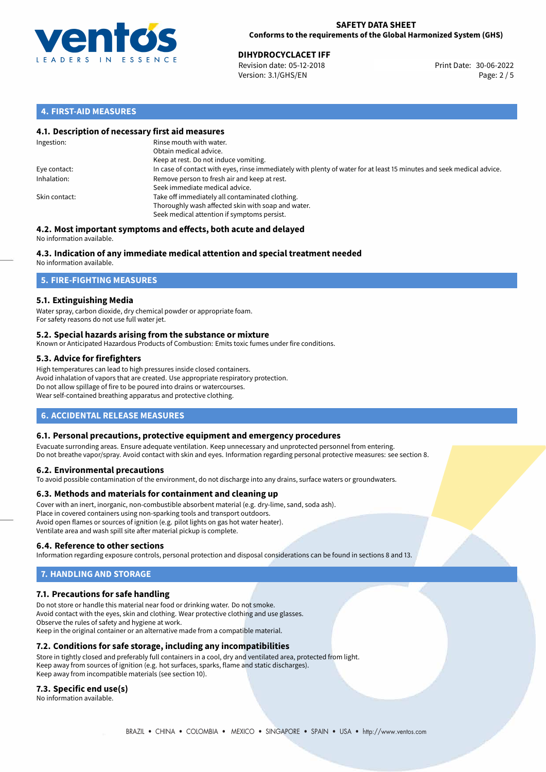

**DIHYDROCYCLACET IFF**<br>
Revision date: 05-12-2018 **Print Date: 30-06-2022** Version: 3.1/GHS/EN Page: 2 / 5

# **4. FIRST-AID MEASURES**

## **4.1. Description of necessary first aid measures**

| Ingestion:    | Rinse mouth with water.<br>Obtain medical advice.<br>Keep at rest. Do not induce vomiting.                                                           |
|---------------|------------------------------------------------------------------------------------------------------------------------------------------------------|
| Eye contact:  | In case of contact with eyes, rinse immediately with plenty of water for at least 15 minutes and seek medical advice.                                |
| Inhalation:   | Remove person to fresh air and keep at rest.<br>Seek immediate medical advice.                                                                       |
| Skin contact: | Take off immediately all contaminated clothing.<br>Thoroughly wash affected skin with soap and water.<br>Seek medical attention if symptoms persist. |

#### **4.2. Most important symptoms and effects, both acute and delayed** No information available.

# **4.3. Indication of any immediate medical attention and special treatment needed**

No information available.

# **5. FIRE-FIGHTING MEASURES**

# **5.1. Extinguishing Media**

Water spray, carbon dioxide, dry chemical powder or appropriate foam. For safety reasons do not use full water jet.

### **5.2. Special hazards arising from the substance or mixture**

Known or Anticipated Hazardous Products of Combustion: Emits toxic fumes under fire conditions.

### **5.3. Advice for firefighters**

High temperatures can lead to high pressures inside closed containers. Avoid inhalation of vapors that are created. Use appropriate respiratory protection. Do not allow spillage of fire to be poured into drains or watercourses. Wear self-contained breathing apparatus and protective clothing.

# **6. ACCIDENTAL RELEASE MEASURES**

### **6.1. Personal precautions, protective equipment and emergency procedures**

Evacuate surronding areas. Ensure adequate ventilation. Keep unnecessary and unprotected personnel from entering. Do not breathe vapor/spray. Avoid contact with skin and eyes. Information regarding personal protective measures: see section 8.

### **6.2. Environmental precautions**

To avoid possible contamination of the environment, do not discharge into any drains, surface waters or groundwaters.

### **6.3. Methods and materials for containment and cleaning up**

Cover with an inert, inorganic, non-combustible absorbent material (e.g. dry-lime, sand, soda ash). Place in covered containers using non-sparking tools and transport outdoors. Avoid open flames or sources of ignition (e.g. pilot lights on gas hot water heater). Ventilate area and wash spill site after material pickup is complete.

### **6.4. Reference to other sections**

Information regarding exposure controls, personal protection and disposal considerations can be found in sections 8 and 13.

# **7. HANDLING AND STORAGE**

### **7.1. Precautions for safe handling**

Do not store or handle this material near food or drinking water. Do not smoke. Avoid contact with the eyes, skin and clothing. Wear protective clothing and use glasses. Observe the rules of safety and hygiene at work. Keep in the original container or an alternative made from a compatible material.

# **7.2. Conditions for safe storage, including any incompatibilities**

Store in tightly closed and preferably full containers in a cool, dry and ventilated area, protected from light. Keep away from sources of ignition (e.g. hot surfaces, sparks, flame and static discharges). Keep away from incompatible materials (see section 10).

### **7.3. Specific end use(s)**

No information available.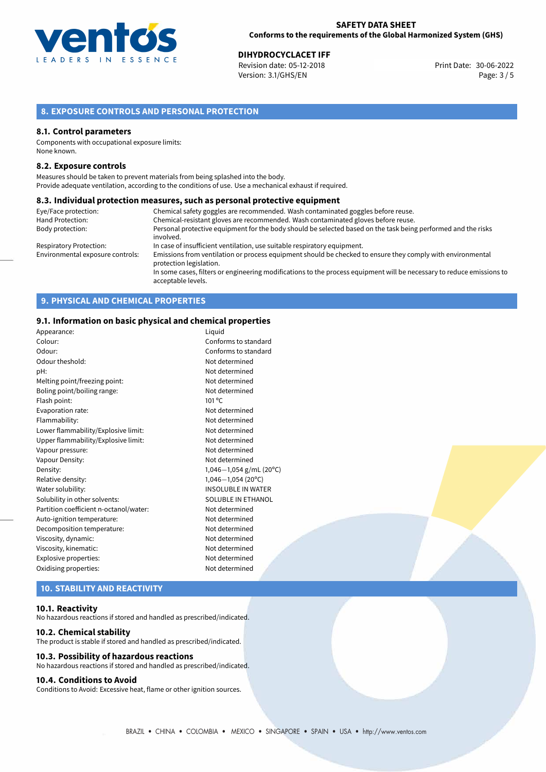

**DIHYDROCYCLACET IFF**<br>
Revision date: 05-12-2018 **Print Date: 30-06-2022** Version: 3.1/GHS/EN Page: 3 / 5

# **8. EXPOSURE CONTROLS AND PERSONAL PROTECTION**

#### **8.1. Control parameters**

Components with occupational exposure limits: None known.

#### **8.2. Exposure controls**

Measures should be taken to prevent materials from being splashed into the body. Provide adequate ventilation, according to the conditions of use. Use a mechanical exhaust if required.

#### **8.3. Individual protection measures, such as personal protective equipment**

| Eye/Face protection:             | Chemical safety goggles are recommended. Wash contaminated goggles before reuse.                                                            |
|----------------------------------|---------------------------------------------------------------------------------------------------------------------------------------------|
| Hand Protection:                 | Chemical-resistant gloves are recommended. Wash contaminated gloves before reuse.                                                           |
| Body protection:                 | Personal protective equipment for the body should be selected based on the task being performed and the risks<br>involved.                  |
| Respiratory Protection:          | In case of insufficient ventilation, use suitable respiratory equipment.                                                                    |
| Environmental exposure controls: | Emissions from ventilation or process equipment should be checked to ensure they comply with environmental<br>protection legislation.       |
|                                  | In some cases, filters or engineering modifications to the process equipment will be necessary to reduce emissions to<br>acceptable levels. |

# **9. PHYSICAL AND CHEMICAL PROPERTIES**

### **9.1. Information on basic physical and chemical properties**

| Appearance:                            | Liguid                    |
|----------------------------------------|---------------------------|
| Colour:                                | Conforms to standard      |
| Odour:                                 | Conforms to standard      |
| Odour theshold:                        | Not determined            |
| pH:                                    | Not determined            |
| Melting point/freezing point:          | Not determined            |
| Boling point/boiling range:            | Not determined            |
| Flash point:                           | $101^{\circ}$ C           |
| Evaporation rate:                      | Not determined            |
| Flammability:                          | Not determined            |
| Lower flammability/Explosive limit:    | Not determined            |
| Upper flammability/Explosive limit:    | Not determined            |
| Vapour pressure:                       | Not determined            |
| Vapour Density:                        | Not determined            |
| Density:                               | 1,046-1,054 g/mL (20°C)   |
| Relative density:                      | $1,046 - 1,054$ (20°C)    |
| Water solubility:                      | <b>INSOLUBLE IN WATER</b> |
| Solubility in other solvents:          | SOLUBLE IN ETHANOL        |
| Partition coefficient n-octanol/water: | Not determined            |
| Auto-ignition temperature:             | Not determined            |
| Decomposition temperature:             | Not determined            |
| Viscosity, dynamic:                    | Not determined            |
| Viscosity, kinematic:                  | Not determined            |
| Explosive properties:                  | Not determined            |
| Oxidising properties:                  | Not determined            |
|                                        |                           |

# **10. STABILITY AND REACTIVITY**

#### **10.1. Reactivity**

No hazardous reactions if stored and handled as prescribed/indicated.

#### **10.2. Chemical stability**

The product is stable if stored and handled as prescribed/indicated.

### **10.3. Possibility of hazardous reactions**

No hazardous reactions if stored and handled as prescribed/indicated.

# **10.4. Conditions to Avoid**

Conditions to Avoid: Excessive heat, flame or other ignition sources.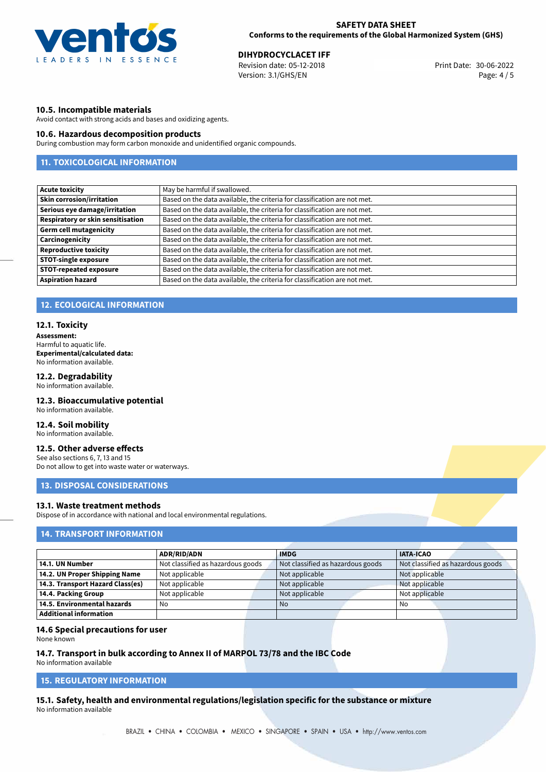

**DIHYDROCYCLACET IFF**<br>
Revision date: 05-12-2018 **Print Date: 30-06-2022** Version: 3.1/GHS/EN Page: 4 / 5

### **10.5. Incompatible materials**

Avoid contact with strong acids and bases and oxidizing agents.

### **10.6. Hazardous decomposition products**

During combustion may form carbon monoxide and unidentified organic compounds.

# **11. TOXICOLOGICAL INFORMATION**

| <b>Acute toxicity</b>                    | May be harmful if swallowed.                                              |
|------------------------------------------|---------------------------------------------------------------------------|
| <b>Skin corrosion/irritation</b>         | Based on the data available, the criteria for classification are not met. |
| Serious eye damage/irritation            | Based on the data available, the criteria for classification are not met. |
| <b>Respiratory or skin sensitisation</b> | Based on the data available, the criteria for classification are not met. |
| <b>Germ cell mutagenicity</b>            | Based on the data available, the criteria for classification are not met. |
| Carcinogenicity                          | Based on the data available, the criteria for classification are not met. |
| <b>Reproductive toxicity</b>             | Based on the data available, the criteria for classification are not met. |
| <b>STOT-single exposure</b>              | Based on the data available, the criteria for classification are not met. |
| <b>STOT-repeated exposure</b>            | Based on the data available, the criteria for classification are not met. |
| <b>Aspiration hazard</b>                 | Based on the data available, the criteria for classification are not met. |

### **12. ECOLOGICAL INFORMATION**

#### **12.1. Toxicity**

**Assessment:** Harmful to aquatic life. **Experimental/calculated data:** No information available.

# **12.2. Degradability**

No information available.

## **12.3. Bioaccumulative potential**

No information available.

## **12.4. Soil mobility**

No information available.

# **12.5. Other adverse effects**

See also sections 6, 7, 13 and 15 Do not allow to get into waste water or waterways.

## **13. DISPOSAL CONSIDERATIONS**

# **13.1. Waste treatment methods**

Dispose of in accordance with national and local environmental regulations.

# **14. TRANSPORT INFORMATION**

|                                  | <b>ADR/RID/ADN</b>                | <b>IMDG</b>                       | <b>IATA-ICAO</b>                  |
|----------------------------------|-----------------------------------|-----------------------------------|-----------------------------------|
| 14.1. UN Number                  | Not classified as hazardous goods | Not classified as hazardous goods | Not classified as hazardous goods |
| 14.2. UN Proper Shipping Name    | Not applicable                    | Not applicable                    | Not applicable                    |
| 14.3. Transport Hazard Class(es) | Not applicable                    | Not applicable                    | Not applicable                    |
| 14.4. Packing Group              | Not applicable                    | Not applicable                    | Not applicable                    |
| 14.5. Environmental hazards      | No                                | <b>No</b>                         | No                                |
| Additional information           |                                   |                                   |                                   |

#### **14.6 Special precautions for user**

None known

# **14.7. Transport in bulk according to Annex II of MARPOL 73/78 and the IBC Code**

No information available

# **15. REGULATORY INFORMATION**

**15.1. Safety, health and environmental regulations/legislation specific for the substance or mixture** No information available